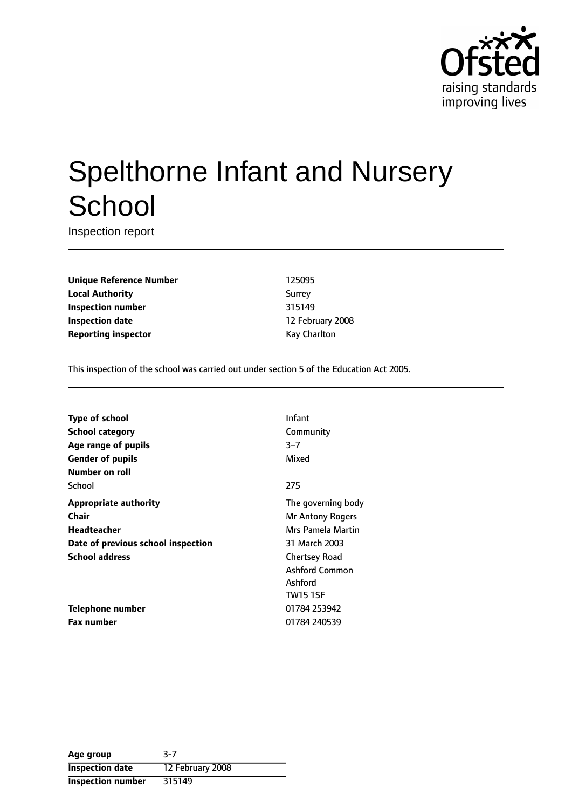

# Spelthorne Infant and Nursery **School**

Inspection report

**Unique Reference Number** 125095 **Local Authority** Surrey **Inspection number** 315149 **Inspection date** 12 February 2008 **Reporting inspector Example 20 and 20 and 20 and 20 and 20 and 20 and 20 and 20 and 20 and 20 and 20 and 20 and 20 and 20 and 20 and 20 and 20 and 20 and 20 and 20 and 20 and 20 and 20 and 20 and 20 and 20 and 20 and 20** 

This inspection of the school was carried out under section 5 of the Education Act 2005.

| Type of school                     | Infant                  |
|------------------------------------|-------------------------|
| <b>School category</b>             | Community               |
| Age range of pupils                | $3 - 7$                 |
| <b>Gender of pupils</b>            | Mixed                   |
| Number on roll                     |                         |
| School                             | 275                     |
| <b>Appropriate authority</b>       | The governing body      |
| Chair                              | <b>Mr Antony Rogers</b> |
| Headteacher                        | Mrs Pamela Martin       |
| Date of previous school inspection | 31 March 2003           |
| <b>School address</b>              | <b>Chertsey Road</b>    |
|                                    | <b>Ashford Common</b>   |
|                                    | Ashford                 |
|                                    | <b>TW15 1SF</b>         |
| Telephone number                   | 01784 253942            |
| <b>Fax number</b>                  | 01784 240539            |
|                                    |                         |

| Age group                | $3-7$            |
|--------------------------|------------------|
| <b>Inspection date</b>   | 12 February 2008 |
| <b>Inspection number</b> | 315149           |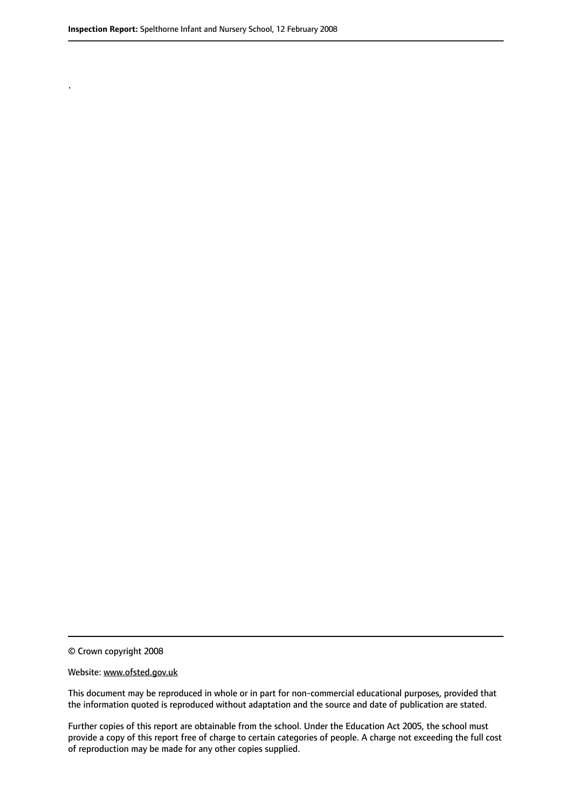.

© Crown copyright 2008

#### Website: www.ofsted.gov.uk

This document may be reproduced in whole or in part for non-commercial educational purposes, provided that the information quoted is reproduced without adaptation and the source and date of publication are stated.

Further copies of this report are obtainable from the school. Under the Education Act 2005, the school must provide a copy of this report free of charge to certain categories of people. A charge not exceeding the full cost of reproduction may be made for any other copies supplied.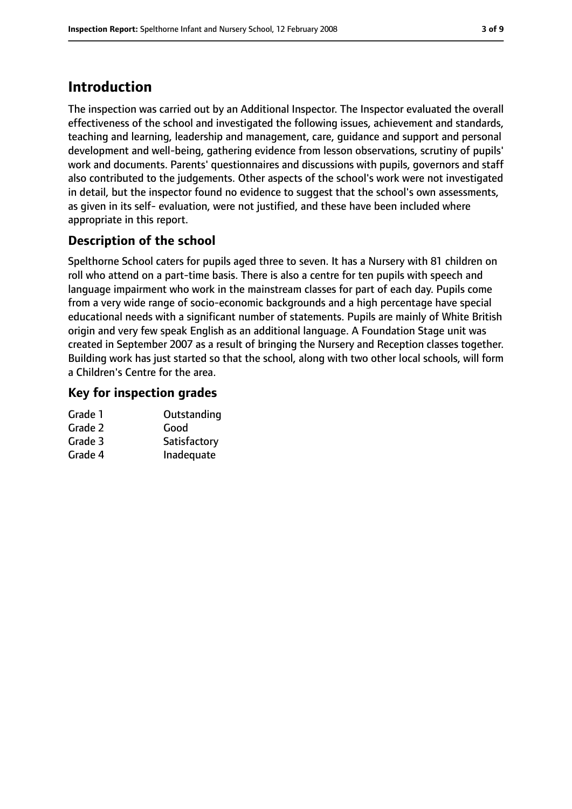## **Introduction**

The inspection was carried out by an Additional Inspector. The Inspector evaluated the overall effectiveness of the school and investigated the following issues, achievement and standards, teaching and learning, leadership and management, care, guidance and support and personal development and well-being, gathering evidence from lesson observations, scrutiny of pupils' work and documents. Parents' questionnaires and discussions with pupils, governors and staff also contributed to the judgements. Other aspects of the school's work were not investigated in detail, but the inspector found no evidence to suggest that the school's own assessments, as given in its self- evaluation, were not justified, and these have been included where appropriate in this report.

### **Description of the school**

Spelthorne School caters for pupils aged three to seven. It has a Nursery with 81 children on roll who attend on a part-time basis. There is also a centre for ten pupils with speech and language impairment who work in the mainstream classes for part of each day. Pupils come from a very wide range of socio-economic backgrounds and a high percentage have special educational needs with a significant number of statements. Pupils are mainly of White British origin and very few speak English as an additional language. A Foundation Stage unit was created in September 2007 as a result of bringing the Nursery and Reception classes together. Building work has just started so that the school, along with two other local schools, will form a Children's Centre for the area.

#### **Key for inspection grades**

| Outstanding  |
|--------------|
| Good         |
| Satisfactory |
| Inadequate   |
|              |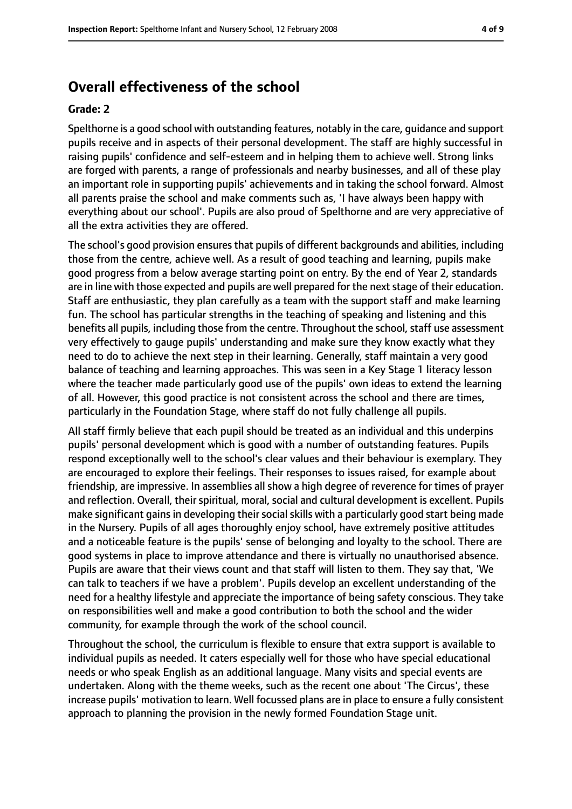#### **Overall effectiveness of the school**

#### **Grade: 2**

Spelthorne is a good school with outstanding features, notably in the care, guidance and support pupils receive and in aspects of their personal development. The staff are highly successful in raising pupils' confidence and self-esteem and in helping them to achieve well. Strong links are forged with parents, a range of professionals and nearby businesses, and all of these play an important role in supporting pupils' achievements and in taking the school forward. Almost all parents praise the school and make comments such as, 'I have always been happy with everything about our school'. Pupils are also proud of Spelthorne and are very appreciative of all the extra activities they are offered.

The school's good provision ensures that pupils of different backgrounds and abilities, including those from the centre, achieve well. As a result of good teaching and learning, pupils make good progress from a below average starting point on entry. By the end of Year 2, standards are in line with those expected and pupils are well prepared for the next stage of their education. Staff are enthusiastic, they plan carefully as a team with the support staff and make learning fun. The school has particular strengths in the teaching of speaking and listening and this benefits all pupils, including those from the centre. Throughout the school, staff use assessment very effectively to gauge pupils' understanding and make sure they know exactly what they need to do to achieve the next step in their learning. Generally, staff maintain a very good balance of teaching and learning approaches. This was seen in a Key Stage 1 literacy lesson where the teacher made particularly good use of the pupils' own ideas to extend the learning of all. However, this good practice is not consistent across the school and there are times, particularly in the Foundation Stage, where staff do not fully challenge all pupils.

All staff firmly believe that each pupil should be treated as an individual and this underpins pupils' personal development which is good with a number of outstanding features. Pupils respond exceptionally well to the school's clear values and their behaviour is exemplary. They are encouraged to explore their feelings. Their responses to issues raised, for example about friendship, are impressive. In assemblies all show a high degree of reverence for times of prayer and reflection. Overall, their spiritual, moral, social and cultural development is excellent. Pupils make significant gains in developing their social skills with a particularly good start being made in the Nursery. Pupils of all ages thoroughly enjoy school, have extremely positive attitudes and a noticeable feature is the pupils' sense of belonging and loyalty to the school. There are good systems in place to improve attendance and there is virtually no unauthorised absence. Pupils are aware that their views count and that staff will listen to them. They say that, 'We can talk to teachers if we have a problem'. Pupils develop an excellent understanding of the need for a healthy lifestyle and appreciate the importance of being safety conscious. They take on responsibilities well and make a good contribution to both the school and the wider community, for example through the work of the school council.

Throughout the school, the curriculum is flexible to ensure that extra support is available to individual pupils as needed. It caters especially well for those who have special educational needs or who speak English as an additional language. Many visits and special events are undertaken. Along with the theme weeks, such as the recent one about 'The Circus', these increase pupils' motivation to learn. Well focussed plans are in place to ensure a fully consistent approach to planning the provision in the newly formed Foundation Stage unit.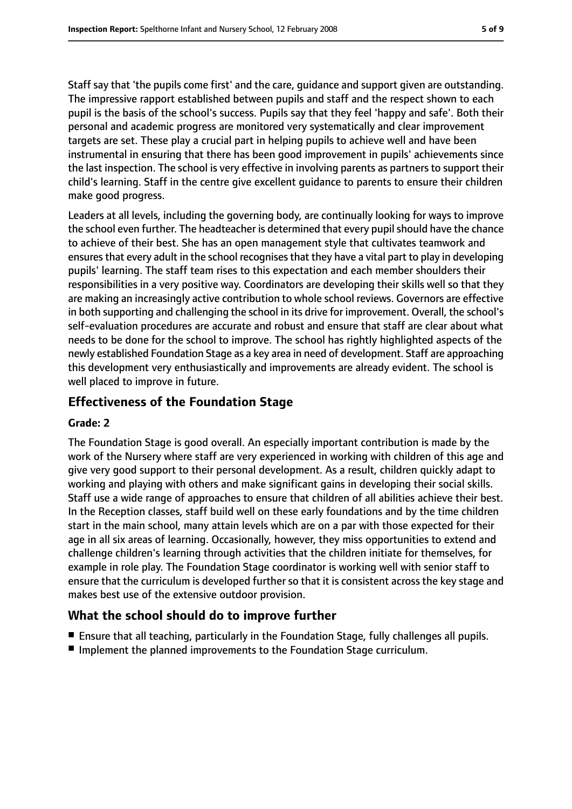Staff say that 'the pupils come first' and the care, guidance and support given are outstanding. The impressive rapport established between pupils and staff and the respect shown to each pupil is the basis of the school's success. Pupils say that they feel 'happy and safe'. Both their personal and academic progress are monitored very systematically and clear improvement targets are set. These play a crucial part in helping pupils to achieve well and have been instrumental in ensuring that there has been good improvement in pupils' achievements since the last inspection. The school is very effective in involving parents as partners to support their child's learning. Staff in the centre give excellent guidance to parents to ensure their children make good progress.

Leaders at all levels, including the governing body, are continually looking for ways to improve the school even further. The headteacher is determined that every pupil should have the chance to achieve of their best. She has an open management style that cultivates teamwork and ensures that every adult in the school recognises that they have a vital part to play in developing pupils' learning. The staff team rises to this expectation and each member shoulders their responsibilities in a very positive way. Coordinators are developing their skills well so that they are making an increasingly active contribution to whole school reviews. Governors are effective in both supporting and challenging the school in its drive for improvement. Overall, the school's self-evaluation procedures are accurate and robust and ensure that staff are clear about what needs to be done for the school to improve. The school has rightly highlighted aspects of the newly established Foundation Stage as a key area in need of development. Staff are approaching this development very enthusiastically and improvements are already evident. The school is well placed to improve in future.

#### **Effectiveness of the Foundation Stage**

#### **Grade: 2**

The Foundation Stage is good overall. An especially important contribution is made by the work of the Nursery where staff are very experienced in working with children of this age and give very good support to their personal development. As a result, children quickly adapt to working and playing with others and make significant gains in developing their social skills. Staff use a wide range of approaches to ensure that children of all abilities achieve their best. In the Reception classes, staff build well on these early foundations and by the time children start in the main school, many attain levels which are on a par with those expected for their age in all six areas of learning. Occasionally, however, they miss opportunities to extend and challenge children's learning through activities that the children initiate for themselves, for example in role play. The Foundation Stage coordinator is working well with senior staff to ensure that the curriculum is developed further so that it is consistent across the key stage and makes best use of the extensive outdoor provision.

#### **What the school should do to improve further**

- Ensure that all teaching, particularly in the Foundation Stage, fully challenges all pupils.
- Implement the planned improvements to the Foundation Stage curriculum.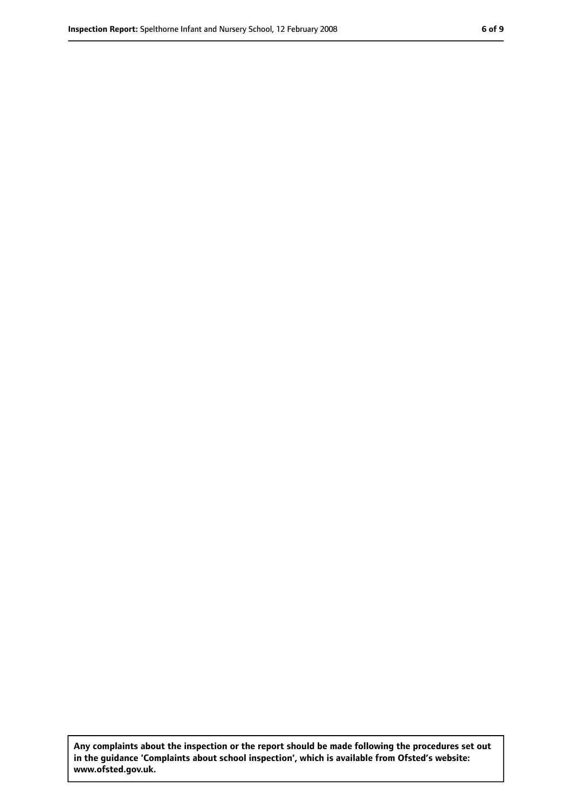**Any complaints about the inspection or the report should be made following the procedures set out in the guidance 'Complaints about school inspection', which is available from Ofsted's website: www.ofsted.gov.uk.**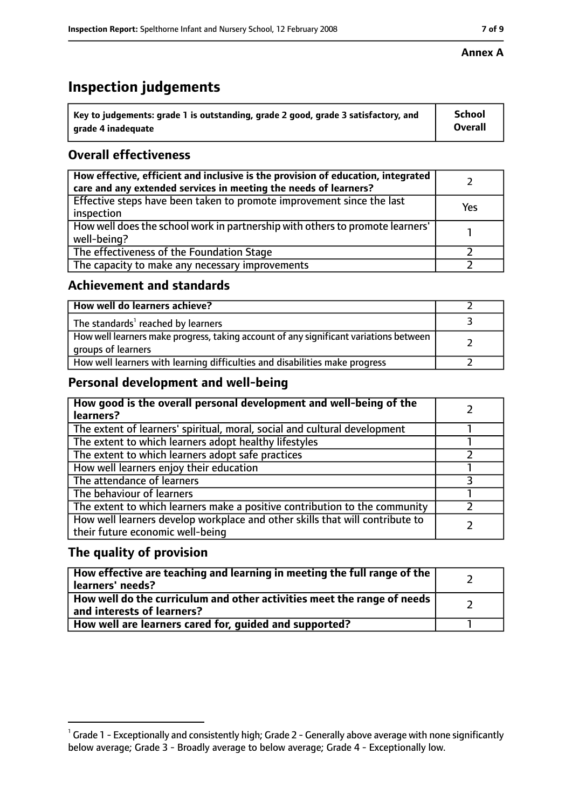## **Inspection judgements**

| $^{\backprime}$ Key to judgements: grade 1 is outstanding, grade 2 good, grade 3 satisfactory, and | <b>School</b>  |
|----------------------------------------------------------------------------------------------------|----------------|
| arade 4 inadeguate                                                                                 | <b>Overall</b> |

#### **Overall effectiveness**

| How effective, efficient and inclusive is the provision of education, integrated<br>care and any extended services in meeting the needs of learners? |     |
|------------------------------------------------------------------------------------------------------------------------------------------------------|-----|
| Effective steps have been taken to promote improvement since the last<br>inspection                                                                  | Yes |
| How well does the school work in partnership with others to promote learners'<br>well-being?                                                         |     |
| The effectiveness of the Foundation Stage                                                                                                            |     |
| The capacity to make any necessary improvements                                                                                                      |     |

#### **Achievement and standards**

| How well do learners achieve?                                                                               |  |
|-------------------------------------------------------------------------------------------------------------|--|
| The standards <sup>1</sup> reached by learners                                                              |  |
| How well learners make progress, taking account of any significant variations between<br>groups of learners |  |
| How well learners with learning difficulties and disabilities make progress                                 |  |

#### **Personal development and well-being**

| How good is the overall personal development and well-being of the<br>learners?                                  |  |
|------------------------------------------------------------------------------------------------------------------|--|
| The extent of learners' spiritual, moral, social and cultural development                                        |  |
| The extent to which learners adopt healthy lifestyles                                                            |  |
| The extent to which learners adopt safe practices                                                                |  |
| How well learners enjoy their education                                                                          |  |
| The attendance of learners                                                                                       |  |
| The behaviour of learners                                                                                        |  |
| The extent to which learners make a positive contribution to the community                                       |  |
| How well learners develop workplace and other skills that will contribute to<br>their future economic well-being |  |

#### **The quality of provision**

| How effective are teaching and learning in meeting the full range of the<br>learners' needs?          |  |
|-------------------------------------------------------------------------------------------------------|--|
| How well do the curriculum and other activities meet the range of needs<br>and interests of learners? |  |
| How well are learners cared for, quided and supported?                                                |  |

 $^1$  Grade 1 - Exceptionally and consistently high; Grade 2 - Generally above average with none significantly below average; Grade 3 - Broadly average to below average; Grade 4 - Exceptionally low.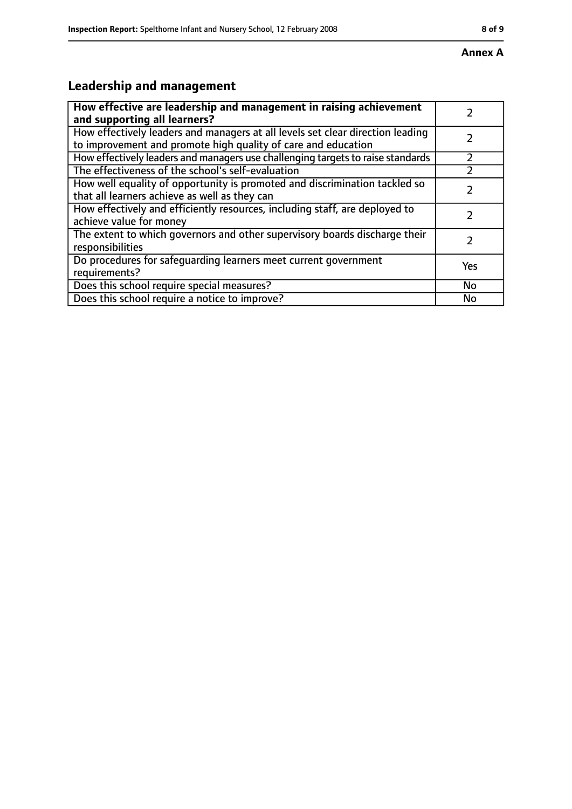# **Leadership and management**

| How effective are leadership and management in raising achievement              |     |
|---------------------------------------------------------------------------------|-----|
| and supporting all learners?                                                    |     |
| How effectively leaders and managers at all levels set clear direction leading  |     |
| to improvement and promote high quality of care and education                   |     |
| How effectively leaders and managers use challenging targets to raise standards |     |
| The effectiveness of the school's self-evaluation                               |     |
| How well equality of opportunity is promoted and discrimination tackled so      |     |
| that all learners achieve as well as they can                                   |     |
| How effectively and efficiently resources, including staff, are deployed to     | 7   |
| achieve value for money                                                         |     |
| The extent to which governors and other supervisory boards discharge their      |     |
| responsibilities                                                                |     |
| Do procedures for safequarding learners meet current government                 | Yes |
| requirements?                                                                   |     |
| Does this school require special measures?                                      | No  |
| Does this school require a notice to improve?                                   | No  |